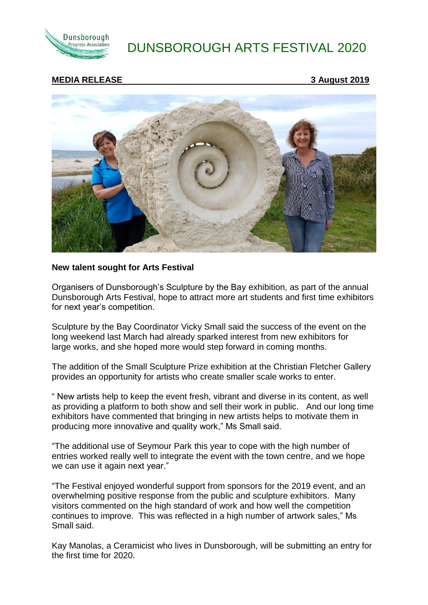

# DUNSBOROUGH ARTS FESTIVAL 2020

## **MEDIA RELEASE 3 August 2019**



#### **New talent sought for Arts Festival**

Organisers of Dunsborough's Sculpture by the Bay exhibition, as part of the annual Dunsborough Arts Festival, hope to attract more art students and first time exhibitors for next year's competition.

Sculpture by the Bay Coordinator Vicky Small said the success of the event on the long weekend last March had already sparked interest from new exhibitors for large works, and she hoped more would step forward in coming months.

The addition of the Small Sculpture Prize exhibition at the Christian Fletcher Gallery provides an opportunity for artists who create smaller scale works to enter.

" New artists help to keep the event fresh, vibrant and diverse in its content, as well as providing a platform to both show and sell their work in public. And our long time exhibitors have commented that bringing in new artists helps to motivate them in producing more innovative and quality work," Ms Small said.

"The additional use of Seymour Park this year to cope with the high number of entries worked really well to integrate the event with the town centre, and we hope we can use it again next year."

"The Festival enjoyed wonderful support from sponsors for the 2019 event, and an overwhelming positive response from the public and sculpture exhibitors. Many visitors commented on the high standard of work and how well the competition continues to improve. This was reflected in a high number of artwork sales," Ms Small said.

Kay Manolas, a Ceramicist who lives in Dunsborough, will be submitting an entry for the first time for 2020.